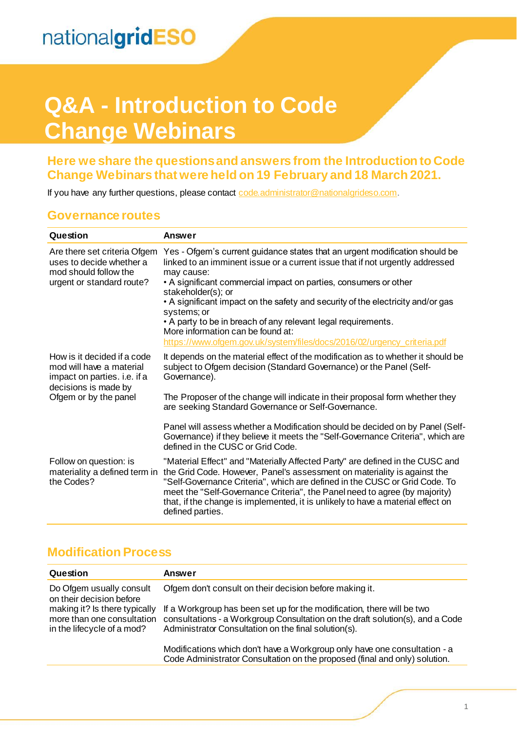## **Q&A - Introduction to Code Change Webinars**

#### **Here we share the questions and answers from the Introduction to Code Change Webinars that were held on 19 February and 18 March 2021.**

If you have any further questions, please contact code administrator@nationalgrideso.com.

#### **Governance routes**

| Question                                                                                                                                 | Answer                                                                                                                                                                                                                                                                                                                                                                                                                                                                                                                                                  |
|------------------------------------------------------------------------------------------------------------------------------------------|---------------------------------------------------------------------------------------------------------------------------------------------------------------------------------------------------------------------------------------------------------------------------------------------------------------------------------------------------------------------------------------------------------------------------------------------------------------------------------------------------------------------------------------------------------|
| Are there set criteria Ofgem<br>uses to decide whether a<br>mod should follow the<br>urgent or standard route?                           | Yes - Ofgem's current guidance states that an urgent modification should be<br>linked to an imminent issue or a current issue that if not urgently addressed<br>may cause:<br>• A significant commercial impact on parties, consumers or other<br>stakeholder(s); or<br>• A significant impact on the safety and security of the electricity and/or gas<br>systems; or<br>• A party to be in breach of any relevant legal requirements.<br>More information can be found at:<br>https://www.ofgem.gov.uk/system/files/docs/2016/02/urgency_criteria.pdf |
| How is it decided if a code<br>mod will have a material<br>impact on parties. i.e. if a<br>decisions is made by<br>Ofgem or by the panel | It depends on the material effect of the modification as to whether it should be<br>subject to Ofgem decision (Standard Governance) or the Panel (Self-<br>Governance).<br>The Proposer of the change will indicate in their proposal form whether they<br>are seeking Standard Governance or Self-Governance.                                                                                                                                                                                                                                          |
|                                                                                                                                          | Panel will assess whether a Modification should be decided on by Panel (Self-<br>Governance) if they believe it meets the "Self-Governance Criteria", which are<br>defined in the CUSC or Grid Code.                                                                                                                                                                                                                                                                                                                                                    |
| Follow on question: is<br>materiality a defined term in<br>the Codes?                                                                    | "Material Effect" and "Materially Affected Party" are defined in the CUSC and<br>the Grid Code. However, Panel's assessment on materiality is against the<br>"Self-Governance Criteria", which are defined in the CUSC or Grid Code. To<br>meet the "Self-Governance Criteria", the Panel need to agree (by majority)<br>that, if the change is implemented, it is unlikely to have a material effect on<br>defined parties.                                                                                                                            |

#### **Modification Process**

| Question                                                                                  | Answer                                                                                                                                                                                                          |
|-------------------------------------------------------------------------------------------|-----------------------------------------------------------------------------------------------------------------------------------------------------------------------------------------------------------------|
| Do Ofgem usually consult<br>on their decision before                                      | Ofgem don't consult on their decision before making it.                                                                                                                                                         |
| making it? Is there typically<br>more than one consultation<br>in the lifecycle of a mod? | If a Workgroup has been set up for the modification, there will be two<br>consultations - a Workgroup Consultation on the draft solution(s), and a Code<br>Administrator Consultation on the final solution(s). |
|                                                                                           | Modifications which don't have a Workgroup only have one consultation - a<br>Code Administrator Consultation on the proposed (final and only) solution.                                                         |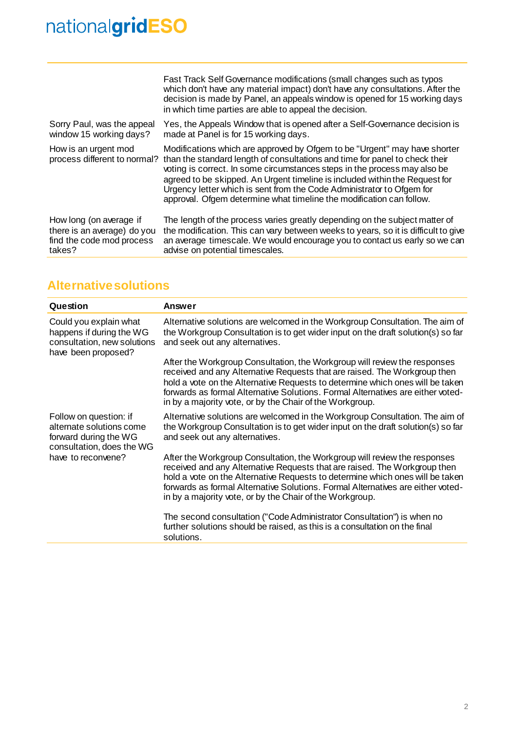# nationalgridESO

|                                                      | Fast Track Self Governance modifications (small changes such as typos<br>which don't have any material impact) don't have any consultations. After the<br>decision is made by Panel, an appeals window is opened for 15 working days<br>in which time parties are able to appeal the decision.                                                                                                                                                                        |
|------------------------------------------------------|-----------------------------------------------------------------------------------------------------------------------------------------------------------------------------------------------------------------------------------------------------------------------------------------------------------------------------------------------------------------------------------------------------------------------------------------------------------------------|
| Sorry Paul, was the appeal                           | Yes, the Appeals Window that is opened after a Self-Governance decision is                                                                                                                                                                                                                                                                                                                                                                                            |
| window 15 working days?                              | made at Panel is for 15 working days.                                                                                                                                                                                                                                                                                                                                                                                                                                 |
| How is an urgent mod<br>process different to normal? | Modifications which are approved by Ofgem to be "Urgent" may have shorter<br>than the standard length of consultations and time for panel to check their<br>voting is correct. In some circumstances steps in the process may also be<br>agreed to be skipped. An Urgent timeline is included within the Request for<br>Urgency letter which is sent from the Code Administrator to Ofgem for<br>approval. Ofgem determine what timeline the modification can follow. |
| How long (on average if                              | The length of the process varies greatly depending on the subject matter of                                                                                                                                                                                                                                                                                                                                                                                           |
| there is an average) do you                          | the modification. This can vary between weeks to years, so it is difficult to give                                                                                                                                                                                                                                                                                                                                                                                    |
| find the code mod process                            | an average timescale. We would encourage you to contact us early so we can                                                                                                                                                                                                                                                                                                                                                                                            |
| takes?                                               | advise on potential timescales.                                                                                                                                                                                                                                                                                                                                                                                                                                       |

#### **Alternative solutions**

| Question                                                                                                                       | Answer                                                                                                                                                                                                                                                                                                                                                                                 |
|--------------------------------------------------------------------------------------------------------------------------------|----------------------------------------------------------------------------------------------------------------------------------------------------------------------------------------------------------------------------------------------------------------------------------------------------------------------------------------------------------------------------------------|
| Could you explain what<br>happens if during the WG<br>consultation, new solutions<br>have been proposed?                       | Alternative solutions are welcomed in the Workgroup Consultation. The aim of<br>the Workgroup Consultation is to get wider input on the draft solution(s) so far<br>and seek out any alternatives.                                                                                                                                                                                     |
|                                                                                                                                | After the Workgroup Consultation, the Workgroup will review the responses<br>received and any Alternative Requests that are raised. The Workgroup then<br>hold a vote on the Alternative Requests to determine which ones will be taken<br>forwards as formal Alternative Solutions. Formal Alternatives are either voted-<br>in by a majority vote, or by the Chair of the Workgroup. |
| Follow on question: if<br>alternate solutions come<br>forward during the WG<br>consultation, does the WG<br>have to reconvene? | Alternative solutions are welcomed in the Workgroup Consultation. The aim of<br>the Workgroup Consultation is to get wider input on the draft solution(s) so far<br>and seek out any alternatives.                                                                                                                                                                                     |
|                                                                                                                                | After the Workgroup Consultation, the Workgroup will review the responses<br>received and any Alternative Requests that are raised. The Workgroup then<br>hold a vote on the Alternative Requests to determine which ones will be taken<br>forwards as formal Alternative Solutions. Formal Alternatives are either voted-<br>in by a majority vote, or by the Chair of the Workgroup. |
|                                                                                                                                | The second consultation ("Code Administrator Consultation") is when no<br>further solutions should be raised, as this is a consultation on the final<br>solutions.                                                                                                                                                                                                                     |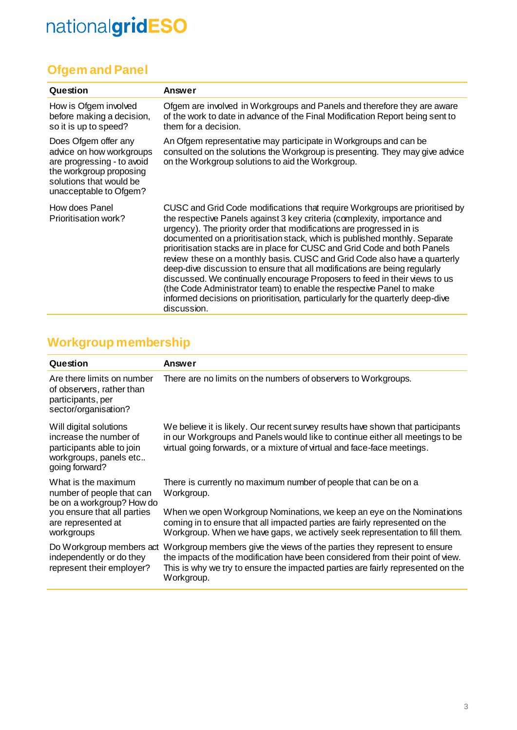# nationalgridESO

## **Ofgem and Panel**

| Question                                                                                                                                                       | Answer                                                                                                                                                                                                                                                                                                                                                                                                                                                                                                                                                                                                                                                                                                                                                                                                      |
|----------------------------------------------------------------------------------------------------------------------------------------------------------------|-------------------------------------------------------------------------------------------------------------------------------------------------------------------------------------------------------------------------------------------------------------------------------------------------------------------------------------------------------------------------------------------------------------------------------------------------------------------------------------------------------------------------------------------------------------------------------------------------------------------------------------------------------------------------------------------------------------------------------------------------------------------------------------------------------------|
| How is Ofgem involved<br>before making a decision,<br>so it is up to speed?                                                                                    | Ofgem are involved in Workgroups and Panels and therefore they are aware<br>of the work to date in advance of the Final Modification Report being sent to<br>them for a decision.                                                                                                                                                                                                                                                                                                                                                                                                                                                                                                                                                                                                                           |
| Does Ofgem offer any<br>advice on how workgroups<br>are progressing - to avoid<br>the workgroup proposing<br>solutions that would be<br>unacceptable to Ofgem? | An Ofgem representative may participate in Workgroups and can be<br>consulted on the solutions the Workgroup is presenting. They may give advice<br>on the Workgroup solutions to aid the Workgroup.                                                                                                                                                                                                                                                                                                                                                                                                                                                                                                                                                                                                        |
| How does Panel<br>Prioritisation work?                                                                                                                         | CUSC and Grid Code modifications that require Workgroups are prioritised by<br>the respective Panels against 3 key criteria (complexity, importance and<br>urgency). The priority order that modifications are progressed in is<br>documented on a prioritisation stack, which is published monthly. Separate<br>prioritisation stacks are in place for CUSC and Grid Code and both Panels<br>review these on a monthly basis. CUSC and Grid Code also have a quarterly<br>deep-dive discussion to ensure that all modifications are being regularly<br>discussed. We continually encourage Proposers to feed in their views to us<br>(the Code Administrator team) to enable the respective Panel to make<br>informed decisions on prioritisation, particularly for the quarterly deep-dive<br>discussion. |

## **Workgroup membership**

| Question                                                                                                                                         | Answer                                                                                                                                                                                                                                                      |
|--------------------------------------------------------------------------------------------------------------------------------------------------|-------------------------------------------------------------------------------------------------------------------------------------------------------------------------------------------------------------------------------------------------------------|
| Are there limits on number<br>of observers, rather than<br>participants, per<br>sector/organisation?                                             | There are no limits on the numbers of observers to Workgroups.                                                                                                                                                                                              |
| Will digital solutions<br>increase the number of<br>participants able to join<br>workgroups, panels etc<br>going forward?                        | We believe it is likely. Our recent survey results have shown that participants<br>in our Workgroups and Panels would like to continue either all meetings to be<br>virtual going forwards, or a mixture of virtual and face-face meetings.                 |
| What is the maximum<br>number of people that can<br>be on a workgroup? How do<br>you ensure that all parties<br>are represented at<br>workgroups | There is currently no maximum number of people that can be on a<br>Workgroup.                                                                                                                                                                               |
|                                                                                                                                                  | When we open Workgroup Nominations, we keep an eye on the Nominations<br>coming in to ensure that all impacted parties are fairly represented on the<br>Workgroup. When we have gaps, we actively seek representation to fill them.                         |
| Do Workgroup members act<br>independently or do they<br>represent their employer?                                                                | Workgroup members give the views of the parties they represent to ensure<br>the impacts of the modification have been considered from their point of view.<br>This is why we try to ensure the impacted parties are fairly represented on the<br>Workgroup. |